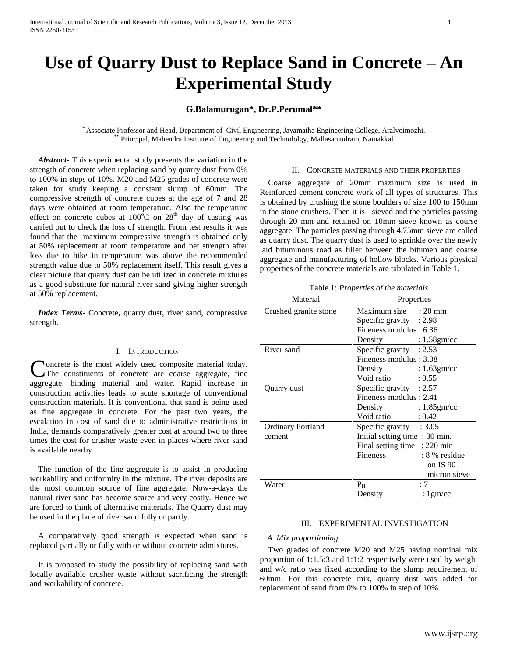# **Use of Quarry Dust to Replace Sand in Concrete – An Experimental Study**

## **G.Balamurugan\*, Dr.P.Perumal\*\***

\* Associate Professor and Head, Department of Civil Engineering, Jayamatha Engineering College, Aralvoimozhi. \*\* Principal, Mahendra Institute of Engineering and Technololgy, Mallasamudram, Namakkal

 *Abstract***-** This experimental study presents the variation in the strength of concrete when replacing sand by quarry dust from 0% to 100% in steps of 10%. M20 and M25 grades of concrete were taken for study keeping a constant slump of 60mm. The compressive strength of concrete cubes at the age of 7 and 28 days were obtained at room temperature. Also the temperature effect on concrete cubes at  $100^{\circ}$ C on  $28^{th}$  day of casting was carried out to check the loss of strength. From test results it was found that the maximum compressive strength is obtained only at 50% replacement at room temperature and net strength after loss due to hike in temperature was above the recommended strength value due to 50% replacement itself. This result gives a clear picture that quarry dust can be utilized in concrete mixtures as a good substitute for natural river sand giving higher strength at 50% replacement.

*Index Terms*- Concrete, quarry dust, river sand, compressive strength.

## I. INTRODUCTION

**Noncrete** is the most widely used composite material today. The constituents of concrete are coarse aggregate, fine Concrete is the most widely used composite material today.<br>The constituents of concrete are coarse aggregate, fine aggregate, binding material and water. Rapid increase in construction activities leads to acute shortage of conventional construction materials. It is conventional that sand is being used as fine aggregate in concrete. For the past two years, the escalation in cost of sand due to administrative restrictions in India, demands comparatively greater cost at around two to three times the cost for crusher waste even in places where river sand is available nearby.

 The function of the fine aggregate is to assist in producing workability and uniformity in the mixture. The river deposits are the most common source of fine aggregate. Now-a-days the natural river sand has become scarce and very costly. Hence we are forced to think of alternative materials. The Quarry dust may be used in the place of river sand fully or partly.

 A comparatively good strength is expected when sand is replaced partially or fully with or without concrete admixtures.

 It is proposed to study the possibility of replacing sand with locally available crusher waste without sacrificing the strength and workability of concrete.

## II. CONCRETE MATERIALS AND THEIR PROPERTIES

 Coarse aggregate of 20mm maximum size is used in Reinforced cement concrete work of all types of structures. This is obtained by crushing the stone boulders of size 100 to 150mm in the stone crushers. Then it is sieved and the particles passing through 20 mm and retained on 10mm sieve known as course aggregate. The particles passing through 4.75mm sieve are called as quarry dust. The quarry dust is used to sprinkle over the newly laid bituminous road as filler between the bitumen and coarse aggregate and manufacturing of hollow blocks. Various physical properties of the concrete materials are tabulated in Table 1.

Table 1: *Properties of the materials*

| Material                 | Properties                     |                 |
|--------------------------|--------------------------------|-----------------|
| Crushed granite stone    | Maximum size : 20 mm           |                 |
|                          | Specific gravity $: 2.98$      |                 |
|                          | Fineness modulus : 6.36        |                 |
|                          | Density : 1.58gm/cc            |                 |
| River sand               | Specific gravity $: 2.53$      |                 |
|                          | Fineness modulus: 3.08         |                 |
|                          | Density : 1.63gm/cc            |                 |
|                          | Void ratio : 0.55              |                 |
| Quarry dust              | Specific gravity : $2.57$      |                 |
|                          | Fineness modulus : 2.41        |                 |
|                          | Density : 1.85gm/cc            |                 |
|                          | Void ratio $: 0.42$            |                 |
| <b>Ordinary Portland</b> | Specific gravity $:3.05$       |                 |
| cement                   | Initial setting time : 30 min. |                 |
|                          | Final setting time : 220 min   |                 |
|                          | <b>Fineness</b>                | $: 8\%$ residue |
|                          |                                | on IS 90        |
|                          |                                | micron sieve    |
| Water                    | P <sub>H</sub>                 | :7              |
|                          | Density                        | : $1$ gm/cc     |

## III. EXPERIMENTAL INVESTIGATION

#### *A. Mix proportioning*

 Two grades of concrete M20 and M25 having nominal mix proportion of 1:1.5:3 and 1:1:2 respectively were used by weight and w/c ratio was fixed according to the slump requirement of 60mm. For this concrete mix, quarry dust was added for replacement of sand from 0% to 100% in step of 10%.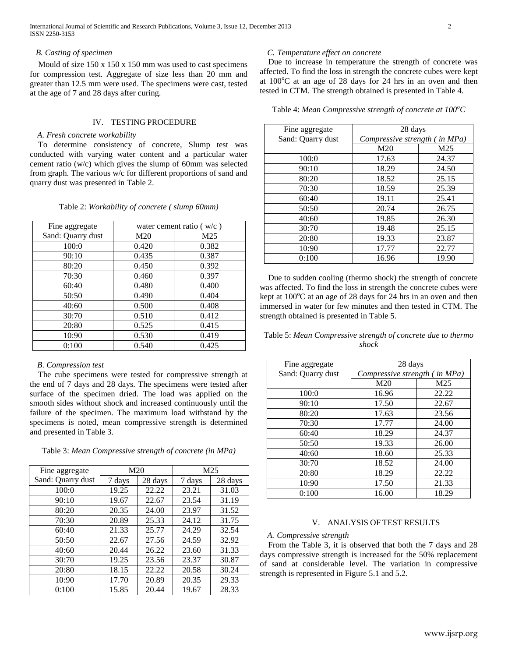International Journal of Scientific and Research Publications, Volume 3, Issue 12, December 2013 2 ISSN 2250-3153

## *B. Casting of specimen*

 Mould of size 150 x 150 x 150 mm was used to cast specimens for compression test. Aggregate of size less than 20 mm and greater than 12.5 mm were used. The specimens were cast, tested at the age of 7 and 28 days after curing.

## IV. TESTING PROCEDURE

### *A. Fresh concrete workability*

 To determine consistency of concrete, Slump test was conducted with varying water content and a particular water cement ratio (w/c) which gives the slump of 60mm was selected from graph. The various w/c for different proportions of sand and quarry dust was presented in Table 2.

|  | Table 2: Workability of concrete (slump 60mm) |  |  |  |
|--|-----------------------------------------------|--|--|--|
|--|-----------------------------------------------|--|--|--|

| Fine aggregate    | water cement ratio $(w/c)$ |       |
|-------------------|----------------------------|-------|
| Sand: Quarry dust | M <sub>20</sub>            | M25   |
| 100:0             | 0.420                      | 0.382 |
| 90:10             | 0.435                      | 0.387 |
| 80:20             | 0.450                      | 0.392 |
| 70:30             | 0.460                      | 0.397 |
| 60:40             | 0.480                      | 0.400 |
| 50:50             | 0.490                      | 0.404 |
| 40:60             | 0.500                      | 0.408 |
| 30:70             | 0.510                      | 0.412 |
| 20:80             | 0.525                      | 0.415 |
| 10:90             | 0.530                      | 0.419 |
| 0:100             | 0.540                      | 0.425 |

## *B. Compression test*

 The cube specimens were tested for compressive strength at the end of 7 days and 28 days. The specimens were tested after surface of the specimen dried. The load was applied on the smooth sides without shock and increased continuously until the failure of the specimen. The maximum load withstand by the specimens is noted, mean compressive strength is determined and presented in Table 3.

Table 3: *Mean Compressive strength of concrete (in MPa)*

| Fine aggregate    | M <sub>20</sub> |         |        | M25     |
|-------------------|-----------------|---------|--------|---------|
| Sand: Quarry dust | 7 days          | 28 days | 7 days | 28 days |
| 100:0             | 19.25           | 22.22   | 23.21  | 31.03   |
| 90:10             | 19.67           | 22.67   | 23.54  | 31.19   |
| 80:20             | 20.35           | 24.00   | 23.97  | 31.52   |
| 70:30             | 20.89           | 25.33   | 24.12  | 31.75   |
| 60:40             | 21.33           | 25.77   | 24.29  | 32.54   |
| 50:50             | 22.67           | 27.56   | 24.59  | 32.92   |
| 40:60             | 20.44           | 26.22   | 23.60  | 31.33   |
| 30:70             | 19.25           | 23.56   | 23.37  | 30.87   |
| 20:80             | 18.15           | 22.22   | 20.58  | 30.24   |
| 10:90             | 17.70           | 20.89   | 20.35  | 29.33   |
| 0:100             | 15.85           | 20.44   | 19.67  | 28.33   |

## *C. Temperature effect on concrete*

 Due to increase in temperature the strength of concrete was affected. To find the loss in strength the concrete cubes were kept at  $100^{\circ}$ C at an age of 28 days for 24 hrs in an oven and then tested in CTM. The strength obtained is presented in Table 4.

Table 4: *Mean Compressive strength of concrete at 100<sup>o</sup>C*

| Fine aggregate    | 28 days                       |       |
|-------------------|-------------------------------|-------|
| Sand: Quarry dust | Compressive strength (in MPa) |       |
|                   | M20                           | M25   |
| 100:0             | 17.63                         | 24.37 |
| 90:10             | 18.29                         | 24.50 |
| 80:20             | 18.52                         | 25.15 |
| 70:30             | 18.59                         | 25.39 |
| 60:40             | 19.11                         | 25.41 |
| 50:50             | 20.74                         | 26.75 |
| 40:60             | 19.85                         | 26.30 |
| 30:70             | 19.48                         | 25.15 |
| 20:80             | 19.33                         | 23.87 |
| 10:90             | 17.77                         | 22.77 |
| 0:100             | 16.96                         | 19.90 |

 Due to sudden cooling (thermo shock) the strength of concrete was affected. To find the loss in strength the concrete cubes were kept at  $100^{\circ}$ C at an age of 28 days for 24 hrs in an oven and then immersed in water for few minutes and then tested in CTM. The strength obtained is presented in Table 5.

Table 5: *Mean Compressive strength of concrete due to thermo shock*

| Fine aggregate    | 28 days                       |                 |
|-------------------|-------------------------------|-----------------|
| Sand: Quarry dust | Compressive strength (in MPa) |                 |
|                   | M <sub>20</sub>               | M <sub>25</sub> |
| 100:0             | 16.96                         | 22.22           |
| 90:10             | 17.50                         | 22.67           |
| 80:20             | 17.63                         | 23.56           |
| 70:30             | 17.77                         | 24.00           |
| 60:40             | 18.29                         | 24.37           |
| 50:50             | 19.33                         | 26.00           |
| 40:60             | 18.60                         | 25.33           |
| 30:70             | 18.52                         | 24.00           |
| 20:80             | 18.29                         | 22.22           |
| 10:90             | 17.50                         | 21.33           |
| 0:100             | 16.00                         | 18.29           |

## V. ANALYSIS OF TEST RESULTS

#### *A. Compressive strength*

 From the Table 3, it is observed that both the 7 days and 28 days compressive strength is increased for the 50% replacement of sand at considerable level. The variation in compressive strength is represented in Figure 5.1 and 5.2.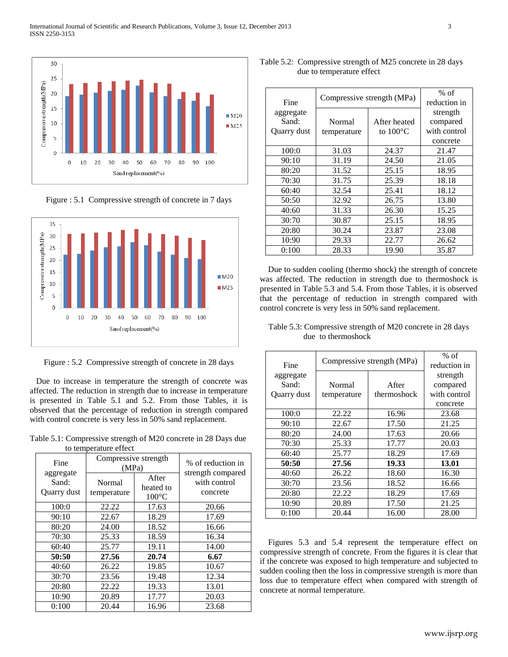

Figure : 5.1 Compressive strength of concrete in 7 days



Figure : 5.2 Compressive strength of concrete in 28 days

Due to increase in temperature the strength of concrete was affected. The reduction in strength due to increase in temperature is presented in Table 5.1 and 5.2. From those Tables, it is observed that the percentage of reduction in strength compared with control concrete is very less in 50% sand replacement.

Table 5.1: Compressive strength of M20 concrete in 28 Days due to temperature effect

| Fine                              | Compressive strength<br>(MPa) |                                       | % of reduction in<br>strength compared |  |
|-----------------------------------|-------------------------------|---------------------------------------|----------------------------------------|--|
| aggregate<br>Sand:<br>Quarry dust | Normal<br>temperature         | After<br>heated to<br>$100^{\circ}$ C | with control<br>concrete               |  |
| 100:0                             | 22.22                         | 17.63                                 | 20.66                                  |  |
| 90:10                             | 22.67                         | 18.29                                 | 17.69                                  |  |
| 80:20                             | 24.00                         | 18.52                                 | 16.66                                  |  |
| 70:30                             | 25.33                         | 18.59                                 | 16.34                                  |  |
| 60:40                             | 25.77                         | 19.11                                 | 14.00                                  |  |
| 50:50                             | 27.56                         | 20.74                                 | 6.67                                   |  |
| 40:60                             | 26.22                         | 19.85                                 | 10.67                                  |  |
| 30:70                             | 23.56                         | 19.48                                 | 12.34                                  |  |
| 20:80                             | 22.22                         | 19.33                                 | 13.01                                  |  |
| 10:90                             | 20.89                         | 17.77                                 | 20.03                                  |  |
| 0:100                             | 20.44                         | 16.96                                 | 23.68                                  |  |

| Table 5.2: Compressive strength of M25 concrete in 28 days |
|------------------------------------------------------------|
| due to temperature effect                                  |

| Fine        | Compressive strength (MPa) | $%$ of<br>reduction in |              |
|-------------|----------------------------|------------------------|--------------|
| aggregate   |                            |                        | strength     |
| Sand:       | Normal                     | After heated           | compared     |
| Quarry dust | temperature                | to $100^{\circ}$ C     | with control |
|             |                            |                        | concrete     |
| 100:0       | 31.03                      | 24.37                  | 21.47        |
| 90:10       | 31.19                      | 24.50                  | 21.05        |
| 80:20       | 31.52                      | 25.15                  | 18.95        |
| 70:30       | 31.75                      | 25.39                  | 18.18        |
| 60:40       | 32.54                      | 25.41                  | 18.12        |
| 50:50       | 32.92                      | 26.75                  | 13.80        |
| 40:60       | 31.33                      | 26.30                  | 15.25        |
| 30:70       | 30.87                      | 25.15                  | 18.95        |
| 20:80       | 30.24                      | 23.87                  | 23.08        |
| 10:90       | 29.33                      | 22.77                  | 26.62        |
| 0:100       | 28.33                      | 19.90                  | 35.87        |

 Due to sudden cooling (thermo shock) the strength of concrete was affected. The reduction in strength due to thermoshock is presented in Table 5.3 and 5.4. From those Tables, it is observed that the percentage of reduction in strength compared with control concrete is very less in 50% sand replacement.

Table 5.3: Compressive strength of M20 concrete in 28 days due to thermoshock

| Fine        | Compressive strength (MPa) | $%$ of<br>reduction in |              |
|-------------|----------------------------|------------------------|--------------|
| aggregate   |                            |                        | strength     |
| Sand:       | Normal                     | After                  | compared     |
| Quarry dust | temperature                | thermoshock            | with control |
|             |                            |                        | concrete     |
| 100:0       | 22.22                      | 16.96                  | 23.68        |
| 90:10       | 22.67                      | 17.50                  | 21.25        |
| 80:20       | 24.00                      | 17.63                  | 20.66        |
| 70:30       | 25.33                      | 17.77                  | 20.03        |
| 60:40       | 25.77                      | 18.29                  | 17.69        |
| 50:50       | 27.56                      | 19.33                  | 13.01        |
| 40:60       | 26.22                      | 18.60                  | 16.30        |
| 30:70       | 23.56                      | 18.52                  | 16.66        |
| 20:80       | 22.22                      | 18.29                  | 17.69        |
| 10:90       | 20.89                      | 17.50                  | 21.25        |
| 0:100       | 20.44                      | 16.00                  | 28.00        |

 Figures 5.3 and 5.4 represent the temperature effect on compressive strength of concrete. From the figures it is clear that if the concrete was exposed to high temperature and subjected to sudden cooling then the loss in compressive strength is more than loss due to temperature effect when compared with strength of concrete at normal temperature.